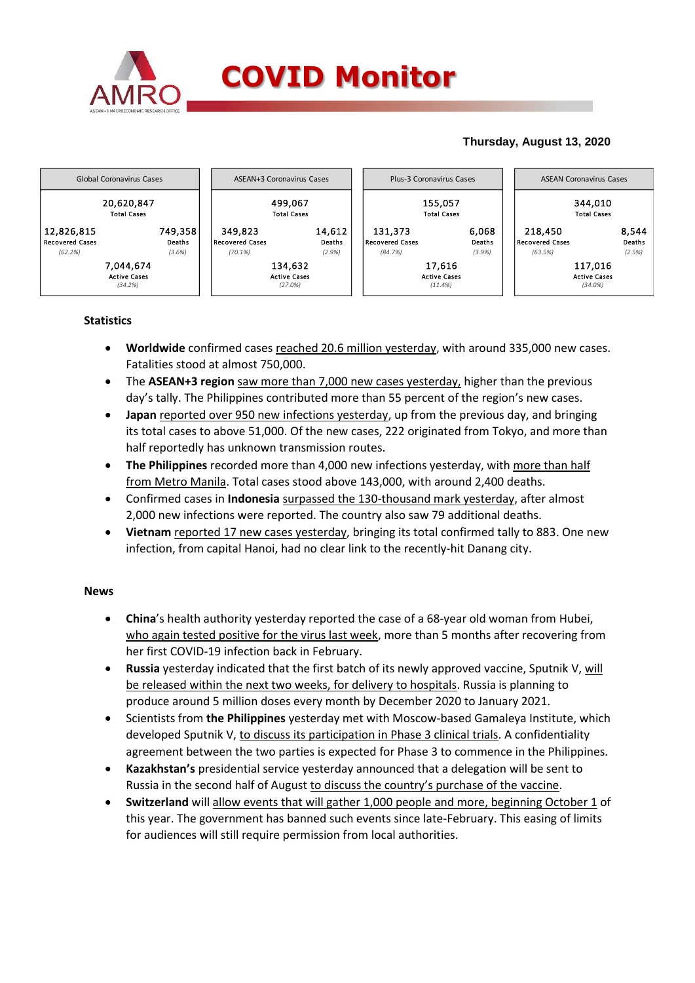

# **Thursday, August 13, 2020**



## **Statistics**

- **Worldwide** confirmed cases reached 20.6 million yesterday, with around 335,000 new cases. Fatalities stood at almost 750,000.
- The **ASEAN+3 region** saw more than 7,000 new cases yesterday, higher than the previous day's tally. The Philippines contributed more than 55 percent of the region's new cases.
- **Japan** reported over 950 new infections yesterday, up from the previous day, and bringing its total cases to above 51,000. Of the new cases, 222 originated from Tokyo, and more than half reportedly has unknown transmission routes.
- **The Philippines** recorded more than 4,000 new infections yesterday, with more than half from Metro Manila. Total cases stood above 143,000, with around 2,400 deaths.
- Confirmed cases in **Indonesia** surpassed the 130-thousand mark yesterday, after almost 2,000 new infections were reported. The country also saw 79 additional deaths.
- **Vietnam** reported 17 new cases yesterday, bringing its total confirmed tally to 883. One new infection, from capital Hanoi, had no clear link to the recently-hit Danang city.

### **News**

- **China**'s health authority yesterday reported the case of a 68-year old woman from Hubei, who again tested positive for the virus last week, more than 5 months after recovering from her first COVID-19 infection back in February.
- **Russia** yesterday indicated that the first batch of its newly approved vaccine, Sputnik V, will be released within the next two weeks, for delivery to hospitals. Russia is planning to produce around 5 million doses every month by December 2020 to January 2021.
- Scientists from **the Philippines** yesterday met with Moscow-based Gamaleya Institute, which developed Sputnik V, to discuss its participation in Phase 3 clinical trials. A confidentiality agreement between the two parties is expected for Phase 3 to commence in the Philippines.
- **Kazakhstan's** presidential service yesterday announced that a delegation will be sent to Russia in the second half of August to discuss the country's purchase of the vaccine.
- **Switzerland** will allow events that will gather 1,000 people and more, beginning October 1 of this year. The government has banned such events since late-February. This easing of limits for audiences will still require permission from local authorities.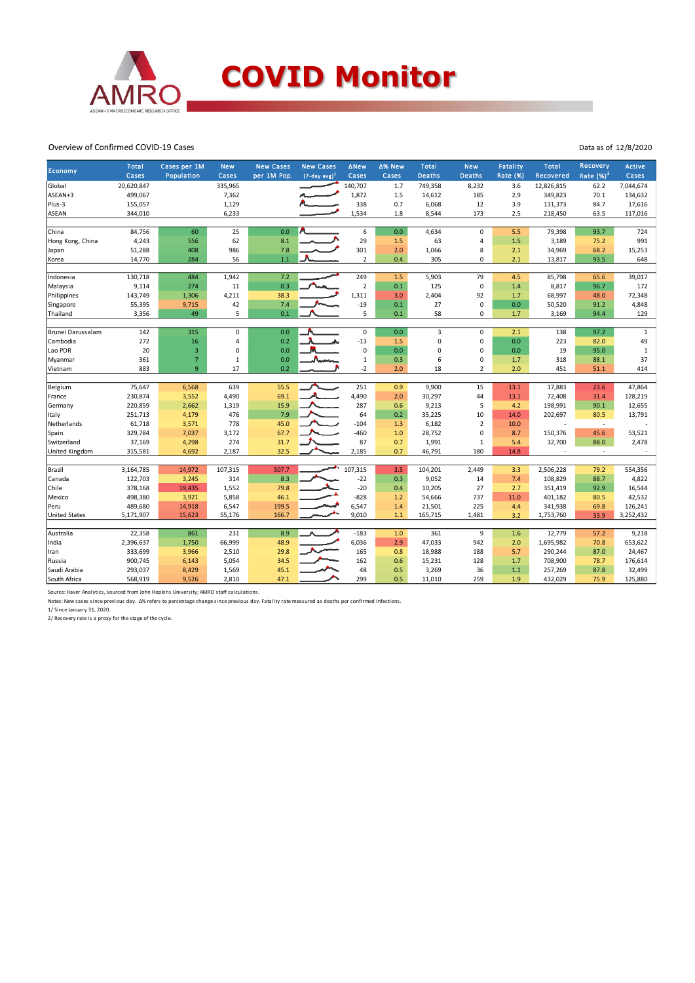

#### Overview of Confirmed COVID-19 Cases

| <b>Economy</b>        | <b>Total</b> | Cases per 1M   | <b>New</b>  | <b>New Cases</b> | <b>New Cases</b> | <b>ANew</b>    | ∆% New | <b>Total</b>   | <b>New</b>     | <b>Fatality</b> | <b>Total</b> | Recovery                 | Active       |
|-----------------------|--------------|----------------|-------------|------------------|------------------|----------------|--------|----------------|----------------|-----------------|--------------|--------------------------|--------------|
|                       | Cases        | Population     | Cases       | per 1M Pop.      | $(7-day avg)^1$  | Cases          | Cases  | <b>Deaths</b>  | <b>Deaths</b>  | <b>Rate (%)</b> | Recovered    | Rate $(\%)^2$            | Cases        |
| Global                | 20,620,847   |                | 335,965     |                  |                  | 140,707        | 1.7    | 749,358        | 8,232          | 3.6             | 12,826,815   | 62.2                     | 7,044,674    |
| ASEAN+3               | 499,067      |                | 7,362       |                  |                  | 1,872          | 1.5    | 14,612         | 185            | 2.9             | 349,823      | 70.1                     | 134,632      |
| Plus-3                | 155,057      |                | 1,129       |                  |                  | 338            | 0.7    | 6,068          | 12             | 3.9             | 131,373      | 84.7                     | 17,616       |
| <b>ASEAN</b>          | 344,010      |                | 6,233       |                  |                  | 1,534          | 1.8    | 8,544          | 173            | 2.5             | 218,450      | 63.5                     | 117,016      |
|                       |              |                |             |                  |                  |                |        |                |                |                 |              |                          |              |
| China                 | 84,756       | 60             | 25          | 0.0              |                  | 6              | 0.0    | 4,634          | 0              | 5.5             | 79,398       | 93.7                     | 724          |
| Hong Kong, China      | 4,243        | 556            | 62          | 8.1              |                  | 29             | 1.5    | 63             | 4              | 1.5             | 3,189        | 75.2                     | 991          |
| Japan                 | 51,288       | 408            | 986         | 7.8              |                  | 301            | 2.0    | 1,066          | 8              | 2.1             | 34,969       | 68.2                     | 15,253       |
| Korea                 | 14,770       | 284            | 56          | 1.1              |                  | $\overline{2}$ | 0.4    | 305            | 0              | 2.1             | 13,817       | 93.5                     | 648          |
| Indonesia             | 130,718      | 484            | 1,942       | 7.2              |                  | 249            | 1.5    | 5,903          | 79             | 4.5             | 85,798       | 65.6                     | 39,017       |
| Malaysia              | 9,114        | 274            | 11          | 0.3              |                  | $\mathbf 2$    | 0.1    | 125            | $\mathbf 0$    | 1.4             | 8,817        | 96.7                     | 172          |
| Philippines           | 143,749      | 1,306          | 4,211       | 38.3             |                  | 1,311          | 3.0    | 2,404          | 92             | 1.7             | 68,997       | 48.0                     | 72,348       |
| Singapore             | 55,395       | 9,715          | 42          | 7.4              |                  | $-19$          | 0.1    | 27             | 0              | 0.0             | 50,520       | 91.2                     | 4,848        |
| Thailand              | 3,356        | 49             | 5           | 0.1              |                  | 5              | 0.1    | 58             | 0              | 1.7             | 3,169        | 94.4                     | 129          |
|                       |              |                |             |                  |                  |                |        |                |                |                 |              |                          |              |
| Brunei Darussalam     | 142          | 315            | $\mathbf 0$ | 0.0              |                  | 0              | 0.0    | $\overline{3}$ | 0              | 2.1             | 138          | 97.2                     | $\mathbf{1}$ |
| Cambodia              | 272          | 16             | 4           | 0.2              |                  | $-13$          | 1.5    | $\mathbf 0$    | 0              | 0.0             | 223          | 82.0                     | 49           |
| Lao PDR               | 20           | 3              | 0           | 0.0              |                  | 0              | 0.0    | 0              | $\Omega$       | 0.0             | 19           | 95.0                     | 1            |
| Myanmar               | 361          | $\overline{7}$ | 1           | 0.0              |                  | $\,1\,$        | 0.3    | 6              | 0              | 1.7             | 318          | 88.1                     | 37           |
| Vietnam               | 883          | 9              | 17          | 0.2              |                  | $-2$           | 2.0    | 18             | 2              | 2.0             | 451          | 51.1                     | 414          |
|                       |              |                |             |                  |                  |                |        |                |                |                 |              |                          |              |
| Belgium               | 75,647       | 6,568          | 639         | 55.5             |                  | 251            | 0.9    | 9,900          | 15             | 13.1            | 17,883       | 23.6                     | 47,864       |
| France                | 230,874      | 3,552          | 4,490       | 69.1             |                  | 4,490          | 2.0    | 30,297         | 44             | 13.1            | 72,408       | 31.4                     | 128,219      |
| Germany               | 220,859      | 2,662          | 1,319       | 15.9             |                  | 287            | 0.6    | 9,213          | 5              | 4.2             | 198,991      | 90.1                     | 12,655       |
| Italy                 | 251,713      | 4,179          | 476         | 7.9              |                  | 64             | 0.2    | 35,225         | 10             | 14.0            | 202,697      | 80.5                     | 13,791       |
| Netherlands           | 61,718       | 3,571          | 778         | 45.0             |                  | $-104$         | 1.3    | 6,182          | $\overline{2}$ | 10.0            |              | $\overline{\phantom{a}}$ |              |
| Spain                 | 329,784      | 7,037          | 3,172       | 67.7             |                  | $-460$         | 1.0    | 28,752         | 0              | 8.7             | 150,376      | 45.6                     | 53,521       |
| Switzerland           | 37,169       | 4,298          | 274         | 31.7             |                  | 87             | 0.7    | 1,991          | $1\,$          | 5.4             | 32,700       | 88.0                     | 2,478        |
| <b>United Kingdom</b> | 315,581      | 4,692          | 2,187       | 32.5             |                  | 2,185          | 0.7    | 46,791         | 180            | 14.8            |              | $\sim$                   |              |
|                       |              |                |             |                  |                  |                |        |                |                |                 |              |                          |              |
| Brazil                | 3,164,785    | 14,972         | 107,315     | 507.7            |                  | 107,315        | 3.5    | 104,201        | 2,449          | 3.3             | 2,506,228    | 79.2                     | 554,356      |
| Canada                | 122,703      | 3,245          | 314         | 8.3              |                  | $-22$          | 0.3    | 9,052          | 14             | 7.4             | 108,829      | 88.7                     | 4,822        |
| Chile                 | 378,168      | 19,435         | 1,552       | 79.8             |                  | $-20$          | 0.4    | 10,205         | 27             | 2.7             | 351,419      | 92.9                     | 16,544       |
| Mexico                | 498,380      | 3,921          | 5,858       | 46.1             |                  | $-828$         | 1.2    | 54,666         | 737            | 11.0            | 401,182      | 80.5                     | 42,532       |
| Peru                  | 489,680      | 14,918         | 6,547       | 199.5            |                  | 6,547          | 1.4    | 21,501         | 225            | 4.4             | 341,938      | 69.8                     | 126,241      |
| <b>United States</b>  | 5,171,907    | 15,623         | 55,176      | 166.7            |                  | 9,010          | 1.1    | 165,715        | 1,481          | 3.2             | 1,753,760    | 33.9                     | 3,252,432    |
| Australia             | 22,358       | 861            | 231         | 8.9              |                  | $-183$         | 1.0    | 361            | 9              | 1.6             | 12,779       | 57.2                     | 9,218        |
| India                 | 2,396,637    | 1,750          | 66,999      | 48.9             |                  | 6,036          | 2.9    | 47,033         | 942            | 2.0             | 1,695,982    | 70.8                     | 653,622      |
| Iran                  | 333,699      | 3,966          | 2,510       | 29.8             |                  | 165            | 0.8    | 18,988         | 188            | 5.7             | 290,244      | 87.0                     | 24,467       |
| Russia                | 900,745      | 6,143          | 5,054       | 34.5             |                  | 162            | 0.6    | 15,231         | 128            | 1.7             | 708,900      | 78.7                     | 176,614      |
| Saudi Arabia          | 293,037      | 8,429          | 1,569       | 45.1             |                  | 48             | 0.5    | 3,269          | 36             | $1.1$           | 257,269      | 87.8                     | 32,499       |
| South Africa          | 568,919      | 9,526          | 2,810       | 47.1             |                  | 299            | 0.5    | 11,010         | 259            | 1.9             | 432,029      | 75.9                     | 125,880      |
|                       |              |                |             |                  |                  |                |        |                |                |                 |              |                          |              |

Source: Haver Analytics, sourced from John Hopkins University; AMRO staff calculations.<br>Notes: New cases since previous day. ∆% refers to percentage change since previous day. Fatality rate measured as deaths per confirmed

1/ Since January 31, 2020. 2/ Recovery rate is a proxy for the stage of the cycle.

Data as of 12/8/2020